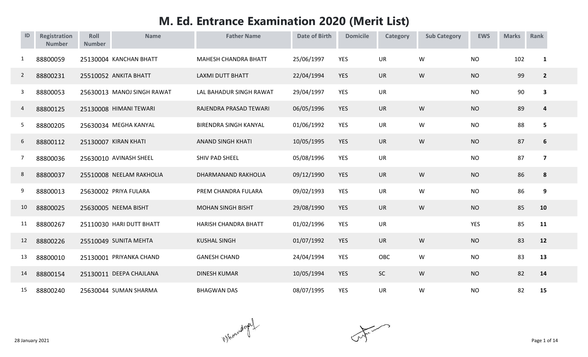## **M. Ed. Entrance Examination 2020 (Merit List)**

| ID             | <b>Registration</b><br><b>Number</b> | Roll<br><b>Number</b> | <b>Name</b>                | <b>Father Name</b>           | <b>Date of Birth</b> | <b>Domicile</b> | <b>Category</b> | <b>Sub Category</b> | <b>EWS</b> | <b>Marks</b> | Rank                    |  |
|----------------|--------------------------------------|-----------------------|----------------------------|------------------------------|----------------------|-----------------|-----------------|---------------------|------------|--------------|-------------------------|--|
| 1              | 88800059                             |                       | 25130004 KANCHAN BHATT     | <b>MAHESH CHANDRA BHATT</b>  | 25/06/1997           | <b>YES</b>      | UR              | W                   | <b>NO</b>  | 102          | $\mathbf{1}$            |  |
| $\overline{2}$ | 88800231                             |                       | 25510052 ANKITA BHATT      | <b>LAXMI DUTT BHATT</b>      | 22/04/1994           | <b>YES</b>      | <b>UR</b>       | W                   | <b>NO</b>  | 99           | $\overline{2}$          |  |
| 3              | 88800053                             |                       | 25630013 MANOJ SINGH RAWAT | LAL BAHADUR SINGH RAWAT      | 29/04/1997           | YES             | UR              |                     | <b>NO</b>  | 90           | $\overline{\mathbf{3}}$ |  |
| 4              | 88800125                             |                       | 25130008 HIMANI TEWARI     | RAJENDRA PRASAD TEWARI       | 06/05/1996           | <b>YES</b>      | UR              | ${\sf W}$           | <b>NO</b>  | 89           | $\overline{\mathbf{r}}$ |  |
| 5              | 88800205                             |                       | 25630034 MEGHA KANYAL      | <b>BIRENDRA SINGH KANYAL</b> | 01/06/1992           | <b>YES</b>      | UR              | W                   | <b>NO</b>  | 88           | 5                       |  |
| 6              | 88800112                             |                       | 25130007 KIRAN KHATI       | <b>ANAND SINGH KHATI</b>     | 10/05/1995           | <b>YES</b>      | <b>UR</b>       | W                   | <b>NO</b>  | 87           | 6                       |  |
| 7              | 88800036                             |                       | 25630010 AVINASH SHEEL     | SHIV PAD SHEEL               | 05/08/1996           | <b>YES</b>      | <b>UR</b>       |                     | <b>NO</b>  | 87           | $\overline{\mathbf{z}}$ |  |
| 8              | 88800037                             |                       | 25510008 NEELAM RAKHOLIA   | DHARMANAND RAKHOLIA          | 09/12/1990           | <b>YES</b>      | <b>UR</b>       | W                   | <b>NO</b>  | 86           | 8                       |  |
| 9              | 88800013                             |                       | 25630002 PRIYA FULARA      | PREM CHANDRA FULARA          | 09/02/1993           | <b>YES</b>      | <b>UR</b>       | W                   | <b>NO</b>  | 86           | 9                       |  |
| 10             | 88800025                             |                       | 25630005 NEEMA BISHT       | <b>MOHAN SINGH BISHT</b>     | 29/08/1990           | <b>YES</b>      | <b>UR</b>       | W                   | <b>NO</b>  | 85           | 10                      |  |
| 11             | 88800267                             |                       | 25110030 HARI DUTT BHATT   | <b>HARISH CHANDRA BHATT</b>  | 01/02/1996           | <b>YES</b>      | UR              |                     | <b>YES</b> | 85           | 11                      |  |
| 12             | 88800226                             |                       | 25510049 SUNITA MEHTA      | <b>KUSHAL SINGH</b>          | 01/07/1992           | <b>YES</b>      | <b>UR</b>       | W                   | <b>NO</b>  | 83           | 12                      |  |
| 13             | 88800010                             |                       | 25130001 PRIYANKA CHAND    | <b>GANESH CHAND</b>          | 24/04/1994           | <b>YES</b>      | <b>OBC</b>      | W                   | <b>NO</b>  | 83           | 13                      |  |
| 14             | 88800154                             |                       | 25130011 DEEPA CHAJLANA    | <b>DINESH KUMAR</b>          | 10/05/1994           | <b>YES</b>      | <b>SC</b>       | W                   | <b>NO</b>  | 82           | 14                      |  |
| 15             | 88800240                             |                       | 25630044 SUMAN SHARMA      | <b>BHAGWAN DAS</b>           | 08/07/1995           | <b>YES</b>      | UR              | W                   | <b>NO</b>  | 82           | 15                      |  |

 $\mathcal{N}$  and  $\mathcal{N}$  are 1 of 14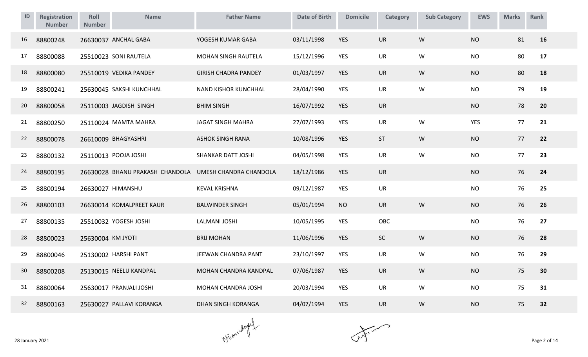| ID | <b>Registration</b><br><b>Number</b> | Roll<br><b>Number</b> | <b>Name</b>                                            | <b>Father Name</b>          | <b>Date of Birth</b> | <b>Domicile</b> | Category  | <b>Sub Category</b> | <b>EWS</b> | <b>Marks</b> | Rank |
|----|--------------------------------------|-----------------------|--------------------------------------------------------|-----------------------------|----------------------|-----------------|-----------|---------------------|------------|--------------|------|
| 16 | 88800248                             |                       | 26630037 ANCHAL GABA                                   | YOGESH KUMAR GABA           | 03/11/1998           | <b>YES</b>      | <b>UR</b> | W                   | <b>NO</b>  | 81           | 16   |
| 17 | 88800088                             |                       | 25510023 SONI RAUTELA                                  | MOHAN SINGH RAUTELA         | 15/12/1996           | YES             | UR        | W                   | <b>NO</b>  | 80           | 17   |
| 18 | 88800080                             |                       | 25510019 VEDIKA PANDEY                                 | <b>GIRISH CHADRA PANDEY</b> | 01/03/1997           | <b>YES</b>      | <b>UR</b> | W                   | <b>NO</b>  | 80           | 18   |
| 19 | 88800241                             |                       | 25630045 SAKSHI KUNCHHAL                               | NAND KISHOR KUNCHHAL        | 28/04/1990           | YES             | UR        | W                   | <b>NO</b>  | 79           | 19   |
| 20 | 88800058                             |                       | 25110003 JAGDISH SINGH                                 | <b>BHIM SINGH</b>           | 16/07/1992           | <b>YES</b>      | UR        |                     | <b>NO</b>  | 78           | 20   |
| 21 | 88800250                             |                       | 25110024 MAMTA MAHRA                                   | <b>JAGAT SINGH MAHRA</b>    | 27/07/1993           | YES             | UR        | W                   | <b>YES</b> | 77           | 21   |
| 22 | 88800078                             |                       | 26610009 BHAGYASHRI                                    | <b>ASHOK SINGH RANA</b>     | 10/08/1996           | <b>YES</b>      | ST        | W                   | <b>NO</b>  | 77           | 22   |
| 23 | 88800132                             |                       | 25110013 POOJA JOSHI                                   | SHANKAR DATT JOSHI          | 04/05/1998           | YES             | <b>UR</b> | W                   | <b>NO</b>  | 77           | 23   |
| 24 | 88800195                             |                       | 26630028 BHANU PRAKASH CHANDOLA UMESH CHANDRA CHANDOLA |                             | 18/12/1986           | <b>YES</b>      | <b>UR</b> |                     | <b>NO</b>  | 76           | 24   |
| 25 | 88800194                             |                       | 26630027 HIMANSHU                                      | <b>KEVAL KRISHNA</b>        | 09/12/1987           | YES             | UR        |                     | <b>NO</b>  | 76           | 25   |
| 26 | 88800103                             |                       | 26630014 KOMALPREET KAUR                               | <b>BALWINDER SINGH</b>      | 05/01/1994           | <b>NO</b>       | <b>UR</b> | W                   | <b>NO</b>  | 76           | 26   |
| 27 | 88800135                             |                       | 25510032 YOGESH JOSHI                                  | <b>LALMANI JOSHI</b>        | 10/05/1995           | <b>YES</b>      | OBC       |                     | <b>NO</b>  | 76           | 27   |
| 28 | 88800023                             | 25630004 KM JYOTI     |                                                        | <b>BRIJ MOHAN</b>           | 11/06/1996           | <b>YES</b>      | SC        | W                   | <b>NO</b>  | 76           | 28   |
| 29 | 88800046                             |                       | 25130002 HARSHI PANT                                   | JEEWAN CHANDRA PANT         | 23/10/1997           | <b>YES</b>      | <b>UR</b> | W                   | <b>NO</b>  | 76           | 29   |
| 30 | 88800208                             |                       | 25130015 NEELU KANDPAL                                 | MOHAN CHANDRA KANDPAL       | 07/06/1987           | <b>YES</b>      | <b>UR</b> | W                   | <b>NO</b>  | 75           | 30   |
| 31 | 88800064                             |                       | 25630017 PRANJALI JOSHI                                | MOHAN CHANDRA JOSHI         | 20/03/1994           | YES             | <b>UR</b> | W                   | <b>NO</b>  | 75           | 31   |
| 32 | 88800163                             |                       | 25630027 PALLAVI KORANGA                               | <b>DHAN SINGH KORANGA</b>   | 04/07/1994           | <b>YES</b>      | UR        | ${\sf W}$           | <b>NO</b>  | 75           | 32   |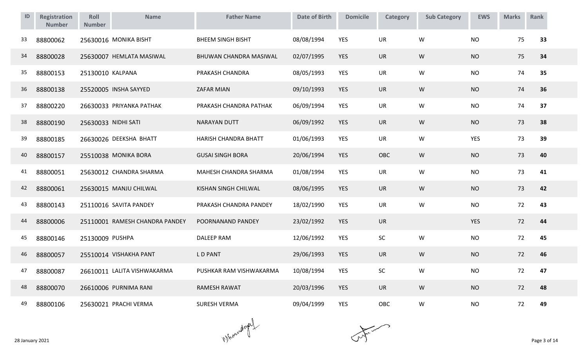| ID | <b>Registration</b><br><b>Number</b> | Roll<br><b>Number</b> | <b>Name</b>                    | <b>Father Name</b>       | <b>Date of Birth</b> | <b>Domicile</b> | Category   | <b>Sub Category</b> | <b>EWS</b> | <b>Marks</b> | Rank |
|----|--------------------------------------|-----------------------|--------------------------------|--------------------------|----------------------|-----------------|------------|---------------------|------------|--------------|------|
| 33 | 88800062                             |                       | 25630016 MONIKA BISHT          | <b>BHEEM SINGH BISHT</b> | 08/08/1994           | <b>YES</b>      | <b>UR</b>  | W                   | <b>NO</b>  | 75           | 33   |
| 34 | 88800028                             |                       | 25630007 HEMLATA MASIWAL       | BHUWAN CHANDRA MASIWAL   | 02/07/1995           | <b>YES</b>      | <b>UR</b>  | W                   | <b>NO</b>  | 75           | 34   |
| 35 | 88800153                             | 25130010 KALPANA      |                                | PRAKASH CHANDRA          | 08/05/1993           | <b>YES</b>      | <b>UR</b>  | W                   | <b>NO</b>  | 74           | 35   |
| 36 | 88800138                             |                       | 25520005 INSHA SAYYED          | ZAFAR MIAN               | 09/10/1993           | <b>YES</b>      | <b>UR</b>  | W                   | <b>NO</b>  | 74           | 36   |
| 37 | 88800220                             |                       | 26630033 PRIYANKA PATHAK       | PRAKASH CHANDRA PATHAK   | 06/09/1994           | <b>YES</b>      | <b>UR</b>  | W                   | <b>NO</b>  | 74           | 37   |
| 38 | 88800190                             | 25630033 NIDHI SATI   |                                | <b>NARAYAN DUTT</b>      | 06/09/1992           | <b>YES</b>      | <b>UR</b>  | W                   | <b>NO</b>  | 73           | 38   |
| 39 | 88800185                             |                       | 26630026 DEEKSHA BHATT         | HARISH CHANDRA BHATT     | 01/06/1993           | <b>YES</b>      | UR         | W                   | YES        | 73           | 39   |
| 40 | 88800157                             |                       | 25510038 MONIKA BORA           | <b>GUSAI SINGH BORA</b>  | 20/06/1994           | <b>YES</b>      | OBC        | W                   | <b>NO</b>  | 73           | 40   |
| 41 | 88800051                             |                       | 25630012 CHANDRA SHARMA        | MAHESH CHANDRA SHARMA    | 01/08/1994           | <b>YES</b>      | <b>UR</b>  | W                   | <b>NO</b>  | 73           | 41   |
| 42 | 88800061                             |                       | 25630015 MANJU CHILWAL         | KISHAN SINGH CHILWAL     | 08/06/1995           | <b>YES</b>      | <b>UR</b>  | W                   | <b>NO</b>  | 73           | 42   |
| 43 | 88800143                             |                       | 25110016 SAVITA PANDEY         | PRAKASH CHANDRA PANDEY   | 18/02/1990           | <b>YES</b>      | UR         | W                   | <b>NO</b>  | 72           | 43   |
| 44 | 88800006                             |                       | 25110001 RAMESH CHANDRA PANDEY | POORNANAND PANDEY        | 23/02/1992           | <b>YES</b>      | <b>UR</b>  |                     | <b>YES</b> | 72           | 44   |
| 45 | 88800146                             | 25130009 PUSHPA       |                                | <b>DALEEP RAM</b>        | 12/06/1992           | <b>YES</b>      | SC         | W                   | <b>NO</b>  | 72           | 45   |
| 46 | 88800057                             |                       | 25510014 VISHAKHA PANT         | <b>LD PANT</b>           | 29/06/1993           | <b>YES</b>      | <b>UR</b>  | W                   | <b>NO</b>  | 72           | 46   |
| 47 | 88800087                             |                       | 26610011 LALITA VISHWAKARMA    | PUSHKAR RAM VISHWAKARMA  | 10/08/1994           | <b>YES</b>      | SC         | W                   | <b>NO</b>  | 72           | 47   |
| 48 | 88800070                             |                       | 26610006 PURNIMA RANI          | <b>RAMESH RAWAT</b>      | 20/03/1996           | <b>YES</b>      | <b>UR</b>  | W                   | <b>NO</b>  | 72           | 48   |
| 49 | 88800106                             |                       | 25630021 PRACHI VERMA          | <b>SURESH VERMA</b>      | 09/04/1999           | <b>YES</b>      | <b>OBC</b> | W                   | <b>NO</b>  | 72           | 49   |

 $\mathcal{N}$  and  $\mathcal{N}$  are 3 of 14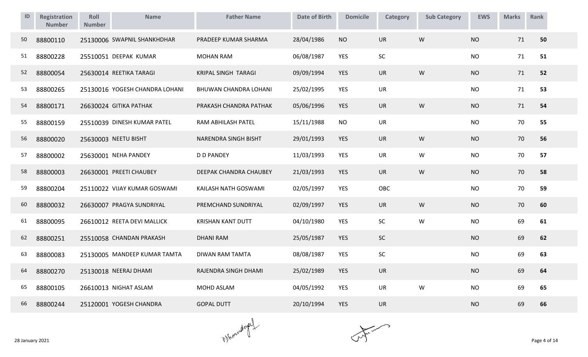| ID | <b>Registration</b><br><b>Number</b> | Roll<br><b>Number</b> | <b>Name</b>                    | <b>Father Name</b>       | <b>Date of Birth</b> | <b>Domicile</b> | <b>Category</b> | <b>Sub Category</b> | <b>EWS</b> | <b>Marks</b> | Rank |
|----|--------------------------------------|-----------------------|--------------------------------|--------------------------|----------------------|-----------------|-----------------|---------------------|------------|--------------|------|
| 50 | 88800110                             |                       | 25130006 SWAPNIL SHANKHDHAR    | PRADEEP KUMAR SHARMA     | 28/04/1986           | <b>NO</b>       | <b>UR</b>       | W                   | <b>NO</b>  | 71           | 50   |
| 51 | 88800228                             |                       | 25510051 DEEPAK KUMAR          | <b>MOHAN RAM</b>         | 06/08/1987           | <b>YES</b>      | SC              |                     | <b>NO</b>  | 71           | 51   |
| 52 | 88800054                             |                       | 25630014 REETIKA TARAGI        | KRIPAL SINGH TARAGI      | 09/09/1994           | <b>YES</b>      | <b>UR</b>       | W                   | <b>NO</b>  | 71           | 52   |
| 53 | 88800265                             |                       | 25130016 YOGESH CHANDRA LOHANI | BHUWAN CHANDRA LOHANI    | 25/02/1995           | YES             | <b>UR</b>       |                     | <b>NO</b>  | 71           | 53   |
| 54 | 88800171                             |                       | 26630024 GITIKA PATHAK         | PRAKASH CHANDRA PATHAK   | 05/06/1996           | YES             | <b>UR</b>       | W                   | <b>NO</b>  | 71           | 54   |
| 55 | 88800159                             |                       | 25510039 DINESH KUMAR PATEL    | RAM ABHILASH PATEL       | 15/11/1988           | <b>NO</b>       | <b>UR</b>       |                     | <b>NO</b>  | 70           | 55   |
| 56 | 88800020                             |                       | 25630003 NEETU BISHT           | NARENDRA SINGH BISHT     | 29/01/1993           | <b>YES</b>      | <b>UR</b>       | W                   | <b>NO</b>  | 70           | 56   |
| 57 | 88800002                             |                       | 25630001 NEHA PANDEY           | <b>D D PANDEY</b>        | 11/03/1993           | <b>YES</b>      | <b>UR</b>       | W                   | <b>NO</b>  | 70           | 57   |
| 58 | 88800003                             |                       | 26630001 PREETI CHAUBEY        | DEEPAK CHANDRA CHAUBEY   | 21/03/1993           | <b>YES</b>      | <b>UR</b>       | W                   | <b>NO</b>  | 70           | 58   |
| 59 | 88800204                             |                       | 25110022 VIJAY KUMAR GOSWAMI   | KAILASH NATH GOSWAMI     | 02/05/1997           | <b>YES</b>      | OBC             |                     | <b>NO</b>  | 70           | 59   |
| 60 | 88800032                             |                       | 26630007 PRAGYA SUNDRIYAL      | PREMCHAND SUNDRIYAL      | 02/09/1997           | <b>YES</b>      | <b>UR</b>       | ${\sf W}$           | <b>NO</b>  | 70           | 60   |
| 61 | 88800095                             |                       | 26610012 REETA DEVI MALLICK    | <b>KRISHAN KANT DUTT</b> | 04/10/1980           | <b>YES</b>      | SC              | ${\sf W}$           | <b>NO</b>  | 69           | 61   |
| 62 | 88800251                             |                       | 25510058 CHANDAN PRAKASH       | <b>DHANI RAM</b>         | 25/05/1987           | YES             | SC              |                     | <b>NO</b>  | 69           | 62   |
| 63 | 88800083                             |                       | 25130005 MANDEEP KUMAR TAMTA   | <b>DIWAN RAM TAMTA</b>   | 08/08/1987           | <b>YES</b>      | SC              |                     | <b>NO</b>  | 69           | 63   |
| 64 | 88800270                             |                       | 25130018 NEERAJ DHAMI          | RAJENDRA SINGH DHAMI     | 25/02/1989           | <b>YES</b>      | <b>UR</b>       |                     | <b>NO</b>  | 69           | 64   |
| 65 | 88800105                             |                       | 26610013 NIGHAT ASLAM          | <b>MOHD ASLAM</b>        | 04/05/1992           | <b>YES</b>      | <b>UR</b>       | W                   | <b>NO</b>  | 69           | 65   |
| 66 | 88800244                             |                       | 25120001 YOGESH CHANDRA        | <b>GOPAL DUTT</b>        | 20/10/1994           | <b>YES</b>      | <b>UR</b>       |                     | <b>NO</b>  | 69           | 66   |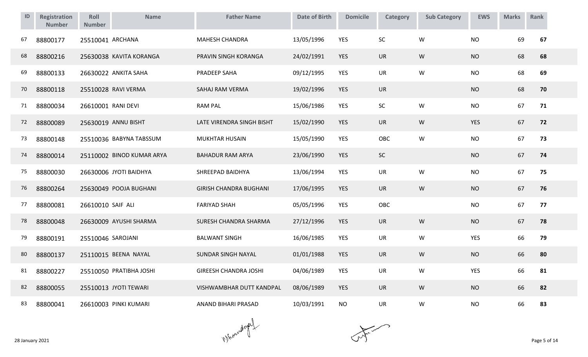| ID | Registration<br><b>Number</b> | Roll<br><b>Number</b> | <b>Name</b>               | <b>Father Name</b>            | <b>Date of Birth</b> | <b>Domicile</b> | Category   | <b>Sub Category</b> | <b>EWS</b> | <b>Marks</b> | Rank |
|----|-------------------------------|-----------------------|---------------------------|-------------------------------|----------------------|-----------------|------------|---------------------|------------|--------------|------|
| 67 | 88800177                      | 25510041 ARCHANA      |                           | <b>MAHESH CHANDRA</b>         | 13/05/1996           | <b>YES</b>      | <b>SC</b>  | W                   | <b>NO</b>  | 69           | 67   |
| 68 | 88800216                      |                       | 25630038 KAVITA KORANGA   | PRAVIN SINGH KORANGA          | 24/02/1991           | <b>YES</b>      | <b>UR</b>  | W                   | <b>NO</b>  | 68           | 68   |
| 69 | 88800133                      |                       | 26630022 ANKITA SAHA      | PRADEEP SAHA                  | 09/12/1995           | <b>YES</b>      | <b>UR</b>  | W                   | <b>NO</b>  | 68           | 69   |
| 70 | 88800118                      |                       | 25510028 RAVI VERMA       | SAHAJ RAM VERMA               | 19/02/1996           | <b>YES</b>      | <b>UR</b>  |                     | <b>NO</b>  | 68           | 70   |
| 71 | 88800034                      | 26610001 RANI DEVI    |                           | <b>RAM PAL</b>                | 15/06/1986           | <b>YES</b>      | SC         | W                   | <b>NO</b>  | 67           | 71   |
| 72 | 88800089                      |                       | 25630019 ANNU BISHT       | LATE VIRENDRA SINGH BISHT     | 15/02/1990           | <b>YES</b>      | <b>UR</b>  | W                   | <b>YES</b> | 67           | 72   |
| 73 | 88800148                      |                       | 25510036 BABYNA TABSSUM   | <b>MUKHTAR HUSAIN</b>         | 15/05/1990           | <b>YES</b>      | <b>OBC</b> | W                   | <b>NO</b>  | 67           | 73   |
| 74 | 88800014                      |                       | 25110002 BINOD KUMAR ARYA | <b>BAHADUR RAM ARYA</b>       | 23/06/1990           | <b>YES</b>      | SC         |                     | <b>NO</b>  | 67           | 74   |
| 75 | 88800030                      |                       | 26630006 JYOTI BAIDHYA    | SHREEPAD BAIDHYA              | 13/06/1994           | <b>YES</b>      | UR         | W                   | <b>NO</b>  | 67           | 75   |
| 76 | 88800264                      |                       | 25630049 POOJA BUGHANI    | <b>GIRISH CHANDRA BUGHANI</b> | 17/06/1995           | <b>YES</b>      | <b>UR</b>  | W                   | <b>NO</b>  | 67           | 76   |
| 77 | 88800081                      | 26610010 SAIF ALI     |                           | <b>FARIYAD SHAH</b>           | 05/05/1996           | <b>YES</b>      | OBC        |                     | <b>NO</b>  | 67           | 77   |
| 78 | 88800048                      |                       | 26630009 AYUSHI SHARMA    | SURESH CHANDRA SHARMA         | 27/12/1996           | <b>YES</b>      | <b>UR</b>  | W                   | <b>NO</b>  | 67           | 78   |
| 79 | 88800191                      | 25510046 SAROJANI     |                           | <b>BALWANT SINGH</b>          | 16/06/1985           | <b>YES</b>      | <b>UR</b>  | W                   | <b>YES</b> | 66           | 79   |
| 80 | 88800137                      |                       | 25110015 BEENA NAYAL      | SUNDAR SINGH NAYAL            | 01/01/1988           | <b>YES</b>      | <b>UR</b>  | W                   | <b>NO</b>  | 66           | 80   |
| 81 | 88800227                      |                       | 25510050 PRATIBHA JOSHI   | <b>GIREESH CHANDRA JOSHI</b>  | 04/06/1989           | <b>YES</b>      | <b>UR</b>  | W                   | YES        | 66           | 81   |
| 82 | 88800055                      |                       | 25510013 JYOTI TEWARI     | VISHWAMBHAR DUTT KANDPAL      | 08/06/1989           | <b>YES</b>      | <b>UR</b>  | W                   | <b>NO</b>  | 66           | 82   |
| 83 | 88800041                      |                       | 26610003 PINKI KUMARI     | ANAND BIHARI PRASAD           | 10/03/1991           | <b>NO</b>       | <b>UR</b>  | W                   | <b>NO</b>  | 66           | 83   |

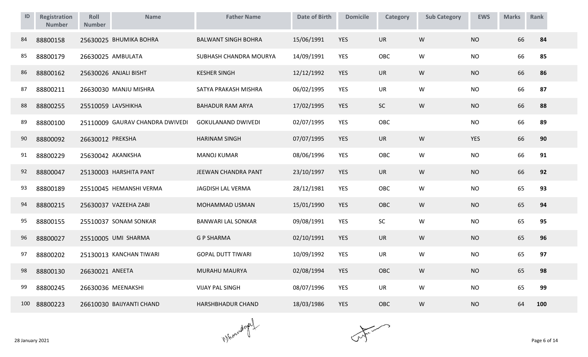| ID  | <b>Registration</b><br><b>Number</b> | Roll<br><b>Number</b> | <b>Name</b>                     | <b>Father Name</b>         | <b>Date of Birth</b> | <b>Domicile</b> | Category   | <b>Sub Category</b> | <b>EWS</b> | <b>Marks</b> | Rank |
|-----|--------------------------------------|-----------------------|---------------------------------|----------------------------|----------------------|-----------------|------------|---------------------|------------|--------------|------|
| 84  | 88800158                             |                       | 25630025 BHUMIKA BOHRA          | <b>BALWANT SINGH BOHRA</b> | 15/06/1991           | <b>YES</b>      | <b>UR</b>  | W                   | <b>NO</b>  | 66           | 84   |
| 85  | 88800179                             |                       | 26630025 AMBULATA               | SUBHASH CHANDRA MOURYA     | 14/09/1991           | <b>YES</b>      | OBC        | W                   | <b>NO</b>  | 66           | 85   |
| 86  | 88800162                             |                       | 25630026 ANJALI BISHT           | <b>KESHER SINGH</b>        | 12/12/1992           | <b>YES</b>      | <b>UR</b>  | W                   | <b>NO</b>  | 66           | 86   |
| 87  | 88800211                             |                       | 26630030 MANJU MISHRA           | SATYA PRAKASH MISHRA       | 06/02/1995           | <b>YES</b>      | <b>UR</b>  | W                   | <b>NO</b>  | 66           | 87   |
| 88  | 88800255                             |                       | 25510059 LAVSHIKHA              | <b>BAHADUR RAM ARYA</b>    | 17/02/1995           | <b>YES</b>      | <b>SC</b>  | W                   | <b>NO</b>  | 66           | 88   |
| 89  | 88800100                             |                       | 25110009 GAURAV CHANDRA DWIVEDI | <b>GOKULANAND DWIVEDI</b>  | 02/07/1995           | YES             | OBC        |                     | <b>NO</b>  | 66           | 89   |
| 90  | 88800092                             | 26630012 PREKSHA      |                                 | <b>HARINAM SINGH</b>       | 07/07/1995           | <b>YES</b>      | <b>UR</b>  | W                   | <b>YES</b> | 66           | 90   |
| 91  | 88800229                             |                       | 25630042 AKANKSHA               | <b>MANOJ KUMAR</b>         | 08/06/1996           | <b>YES</b>      | OBC        | W                   | <b>NO</b>  | 66           | 91   |
| 92  | 88800047                             |                       | 25130003 HARSHITA PANT          | JEEWAN CHANDRA PANT        | 23/10/1997           | <b>YES</b>      | <b>UR</b>  | W                   | <b>NO</b>  | 66           | 92   |
| 93  | 88800189                             |                       | 25510045 HEMANSHI VERMA         | <b>JAGDISH LAL VERMA</b>   | 28/12/1981           | <b>YES</b>      | OBC        | W                   | <b>NO</b>  | 65           | 93   |
| 94  | 88800215                             |                       | 25630037 VAZEEHA ZABI           | MOHAMMAD USMAN             | 15/01/1990           | <b>YES</b>      | <b>OBC</b> | W                   | <b>NO</b>  | 65           | 94   |
| 95  | 88800155                             |                       | 25510037 SONAM SONKAR           | <b>BANWARI LAL SONKAR</b>  | 09/08/1991           | <b>YES</b>      | SC         | W                   | <b>NO</b>  | 65           | 95   |
| 96  | 88800027                             |                       | 25510005 UMI SHARMA             | <b>G P SHARMA</b>          | 02/10/1991           | <b>YES</b>      | <b>UR</b>  | W                   | <b>NO</b>  | 65           | 96   |
| 97  | 88800202                             |                       | 25130013 KANCHAN TIWARI         | <b>GOPAL DUTT TIWARI</b>   | 10/09/1992           | <b>YES</b>      | <b>UR</b>  | W                   | <b>NO</b>  | 65           | 97   |
| 98  | 88800130                             | 26630021 ANEETA       |                                 | MURAHU MAURYA              | 02/08/1994           | <b>YES</b>      | OBC        | W                   | <b>NO</b>  | 65           | 98   |
| 99  | 88800245                             |                       | 26630036 MEENAKSHI              | <b>VIJAY PAL SINGH</b>     | 08/07/1996           | <b>YES</b>      | <b>UR</b>  | W                   | <b>NO</b>  | 65           | 99   |
| 100 | 88800223                             |                       | 26610030 BAIJYANTI CHAND        | <b>HARSHBHADUR CHAND</b>   | 18/03/1986           | <b>YES</b>      | OBC        | W                   | <b>NO</b>  | 64           | 100  |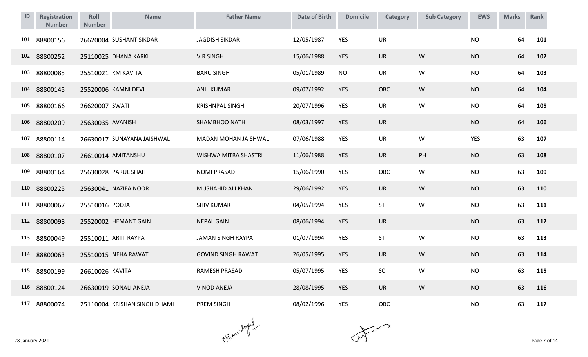| ID  | Registration<br><b>Number</b> | Roll<br><b>Number</b> | <b>Name</b>                  | <b>Father Name</b>        | <b>Date of Birth</b> | <b>Domicile</b> | Category  | <b>Sub Category</b> | <b>EWS</b> | <b>Marks</b> | Rank |
|-----|-------------------------------|-----------------------|------------------------------|---------------------------|----------------------|-----------------|-----------|---------------------|------------|--------------|------|
| 101 | 88800156                      |                       | 26620004 SUSHANT SIKDAR      | <b>JAGDISH SIKDAR</b>     | 12/05/1987           | <b>YES</b>      | <b>UR</b> |                     | <b>NO</b>  | 64           | 101  |
| 102 | 88800252                      |                       | 25110025 DHANA KARKI         | <b>VIR SINGH</b>          | 15/06/1988           | <b>YES</b>      | <b>UR</b> | W                   | <b>NO</b>  | 64           | 102  |
| 103 | 88800085                      |                       | 25510021 KM KAVITA           | <b>BARU SINGH</b>         | 05/01/1989           | <b>NO</b>       | <b>UR</b> | W                   | <b>NO</b>  | 64           | 103  |
| 104 | 88800145                      |                       | 25520006 KAMNI DEVI          | <b>ANIL KUMAR</b>         | 09/07/1992           | <b>YES</b>      | OBC       | W                   | <b>NO</b>  | 64           | 104  |
| 105 | 88800166                      | 26620007 SWATI        |                              | <b>KRISHNPAL SINGH</b>    | 20/07/1996           | YES             | UR        | W                   | <b>NO</b>  | 64           | 105  |
| 106 | 88800209                      | 25630035 AVANISH      |                              | SHAMBHOO NATH             | 08/03/1997           | <b>YES</b>      | UR        |                     | <b>NO</b>  | 64           | 106  |
| 107 | 88800114                      |                       | 26630017 SUNAYANA JAISHWAL   | MADAN MOHAN JAISHWAL      | 07/06/1988           | <b>YES</b>      | UR        | W                   | YES        | 63           | 107  |
| 108 | 88800107                      |                       | 26610014 AMITANSHU           | WISHWA MITRA SHASTRI      | 11/06/1988           | <b>YES</b>      | <b>UR</b> | PH                  | <b>NO</b>  | 63           | 108  |
| 109 | 88800164                      |                       | 25630028 PARUL SHAH          | <b>NOMI PRASAD</b>        | 15/06/1990           | YES             | OBC       | W                   | <b>NO</b>  | 63           | 109  |
| 110 | 88800225                      |                       | 25630041 NAZIFA NOOR         | MUSHAHID ALI KHAN         | 29/06/1992           | <b>YES</b>      | <b>UR</b> | W                   | <b>NO</b>  | 63           | 110  |
| 111 | 88800067                      | 25510016 POOJA        |                              | <b>SHIV KUMAR</b>         | 04/05/1994           | <b>YES</b>      | ST        | W                   | <b>NO</b>  | 63           | 111  |
| 112 | 88800098                      |                       | 25520002 HEMANT GAIN         | <b>NEPAL GAIN</b>         | 08/06/1994           | <b>YES</b>      | UR        |                     | <b>NO</b>  | 63           | 112  |
| 113 | 88800049                      |                       | 25510011 ARTI RAYPA          | <b>JAMAN SINGH RAYPA</b>  | 01/07/1994           | YES             | ST        | W                   | <b>NO</b>  | 63           | 113  |
| 114 | 88800063                      |                       | 25510015 NEHA RAWAT          | <b>GOVIND SINGH RAWAT</b> | 26/05/1995           | <b>YES</b>      | <b>UR</b> | ${\sf W}$           | <b>NO</b>  | 63           | 114  |
| 115 | 88800199                      | 26610026 KAVITA       |                              | RAMESH PRASAD             | 05/07/1995           | <b>YES</b>      | $\sf SC$  | W                   | <b>NO</b>  | 63           | 115  |
| 116 | 88800124                      |                       | 26630019 SONALI ANEJA        | <b>VINOD ANEJA</b>        | 28/08/1995           | <b>YES</b>      | <b>UR</b> | ${\sf W}$           | <b>NO</b>  | 63           | 116  |
| 117 | 88800074                      |                       | 25110004 KRISHAN SINGH DHAMI | PREM SINGH                | 08/02/1996           | <b>YES</b>      | OBC       |                     | <b>NO</b>  | 63           | 117  |

 $\mathcal{N}$  and  $\mathcal{N}$  are 7 of 14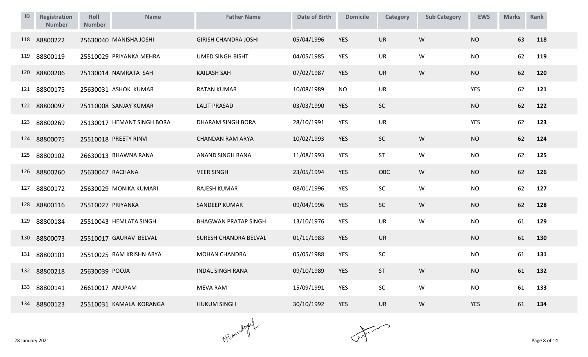| ID  | Registration<br><b>Number</b> | Roll<br><b>Number</b> | <b>Name</b>                | <b>Father Name</b>          | <b>Date of Birth</b> | <b>Domicile</b> | Category   | <b>Sub Category</b> | <b>EWS</b> | <b>Marks</b> | Rank |
|-----|-------------------------------|-----------------------|----------------------------|-----------------------------|----------------------|-----------------|------------|---------------------|------------|--------------|------|
| 118 | 88800222                      |                       | 25630040 MANISHA JOSHI     | <b>GIRISH CHANDRA JOSHI</b> | 05/04/1996           | <b>YES</b>      | <b>UR</b>  | W                   | <b>NO</b>  | 63           | 118  |
| 119 | 88800119                      |                       | 25510029 PRIYANKA MEHRA    | <b>UMED SINGH BISHT</b>     | 04/05/1985           | YES             | UR         | W                   | <b>NO</b>  | 62           | 119  |
| 120 | 88800206                      |                       | 25130014 NAMRATA SAH       | <b>KAILASH SAH</b>          | 07/02/1987           | <b>YES</b>      | <b>UR</b>  | W                   | <b>NO</b>  | 62           | 120  |
| 121 | 88800175                      |                       | 25630031 ASHOK KUMAR       | <b>RATAN KUMAR</b>          | 10/08/1989           | <b>NO</b>       | <b>UR</b>  |                     | <b>YES</b> | 62           | 121  |
| 122 | 88800097                      |                       | 25110008 SANJAY KUMAR      | <b>LALIT PRASAD</b>         | 03/03/1990           | <b>YES</b>      | <b>SC</b>  |                     | <b>NO</b>  | 62           | 122  |
| 123 | 88800269                      |                       | 25130017 HEMANT SINGH BORA | DHARAM SINGH BORA           | 28/10/1991           | <b>YES</b>      | <b>UR</b>  |                     | <b>YES</b> | 62           | 123  |
| 124 | 88800075                      |                       | 25510018 PREETY RINVI      | <b>CHANDAN RAM ARYA</b>     | 10/02/1993           | <b>YES</b>      | <b>SC</b>  | W                   | <b>NO</b>  | 62           | 124  |
| 125 | 88800102                      |                       | 26630013 BHAWNA RANA       | ANAND SINGH RANA            | 11/08/1993           | <b>YES</b>      | ST         | W                   | <b>NO</b>  | 62           | 125  |
| 126 | 88800260                      | 25630047 RACHANA      |                            | <b>VEER SINGH</b>           | 23/05/1994           | <b>YES</b>      | <b>OBC</b> | W                   | <b>NO</b>  | 62           | 126  |
| 127 | 88800172                      |                       | 25630029 MONIKA KUMARI     | <b>RAJESH KUMAR</b>         | 08/01/1996           | <b>YES</b>      | SC         | W                   | <b>NO</b>  | 62           | 127  |
| 128 | 88800116                      | 25510027 PRIYANKA     |                            | SANDEEP KUMAR               | 09/04/1996           | <b>YES</b>      | SC         | W                   | <b>NO</b>  | 62           | 128  |
| 129 | 88800184                      |                       | 25510043 HEMLATA SINGH     | <b>BHAGWAN PRATAP SINGH</b> | 13/10/1976           | <b>YES</b>      | <b>UR</b>  | W                   | <b>NO</b>  | 61           | 129  |
| 130 | 88800073                      |                       | 25510017 GAURAV BELVAL     | SURESH CHANDRA BELVAL       | 01/11/1983           | <b>YES</b>      | <b>UR</b>  |                     | <b>NO</b>  | 61           | 130  |
| 131 | 88800101                      |                       | 25510025 RAM KRISHN ARYA   | <b>MOHAN CHANDRA</b>        | 05/05/1988           | <b>YES</b>      | SC         |                     | <b>NO</b>  | 61           | 131  |
| 132 | 88800218                      | 25630039 POOJA        |                            | <b>INDAL SINGH RANA</b>     | 09/10/1989           | <b>YES</b>      | ST         | W                   | <b>NO</b>  | 61           | 132  |
| 133 | 88800141                      | 26610017 ANUPAM       |                            | <b>MEVA RAM</b>             | 15/09/1991           | YES             | SC         | W                   | <b>NO</b>  | 61           | 133  |
| 134 | 88800123                      |                       | 25510031 KAMALA KORANGA    | <b>HUKUM SINGH</b>          | 30/10/1992           | <b>YES</b>      | <b>UR</b>  | W                   | <b>YES</b> | 61           | 134  |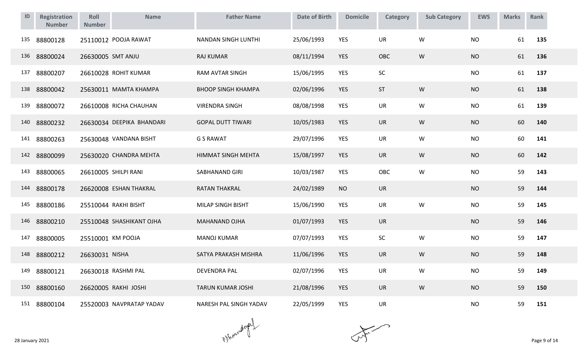| ID  | <b>Registration</b><br><b>Number</b> | Roll<br><b>Number</b> | <b>Name</b>               | <b>Father Name</b>         | <b>Date of Birth</b> | <b>Domicile</b> | Category   | <b>Sub Category</b> | <b>EWS</b> | <b>Marks</b> | Rank |
|-----|--------------------------------------|-----------------------|---------------------------|----------------------------|----------------------|-----------------|------------|---------------------|------------|--------------|------|
| 135 | 88800128                             |                       | 25110012 POOJA RAWAT      | <b>NANDAN SINGH LUNTHI</b> | 25/06/1993           | <b>YES</b>      | <b>UR</b>  | W                   | <b>NO</b>  | 61           | 135  |
| 136 | 88800024                             | 26630005 SMT ANJU     |                           | <b>RAJ KUMAR</b>           | 08/11/1994           | <b>YES</b>      | <b>OBC</b> | W                   | <b>NO</b>  | 61           | 136  |
| 137 | 88800207                             |                       | 26610028 ROHIT KUMAR      | <b>RAM AVTAR SINGH</b>     | 15/06/1995           | YES             | SC         |                     | <b>NO</b>  | 61           | 137  |
| 138 | 88800042                             |                       | 25630011 MAMTA KHAMPA     | <b>BHOOP SINGH KHAMPA</b>  | 02/06/1996           | <b>YES</b>      | ST         | W                   | <b>NO</b>  | 61           | 138  |
| 139 | 88800072                             |                       | 26610008 RICHA CHAUHAN    | <b>VIRENDRA SINGH</b>      | 08/08/1998           | YES             | <b>UR</b>  | W                   | <b>NO</b>  | 61           | 139  |
| 140 | 88800232                             |                       | 26630034 DEEPIKA BHANDARI | <b>GOPAL DUTT TIWARI</b>   | 10/05/1983           | <b>YES</b>      | <b>UR</b>  | W                   | <b>NO</b>  | 60           | 140  |
| 141 | 88800263                             |                       | 25630048 VANDANA BISHT    | <b>G S RAWAT</b>           | 29/07/1996           | YES             | <b>UR</b>  | W                   | <b>NO</b>  | 60           | 141  |
| 142 | 88800099                             |                       | 25630020 CHANDRA MEHTA    | HIMMAT SINGH MEHTA         | 15/08/1997           | <b>YES</b>      | <b>UR</b>  | W                   | <b>NO</b>  | 60           | 142  |
| 143 | 88800065                             |                       | 26610005 SHILPI RANI      | SABHANAND GIRI             | 10/03/1987           | YES             | OBC        | W                   | <b>NO</b>  | 59           | 143  |
| 144 | 88800178                             |                       | 26620008 ESHAN THAKRAL    | <b>RATAN THAKRAL</b>       | 24/02/1989           | <b>NO</b>       | <b>UR</b>  |                     | <b>NO</b>  | 59           | 144  |
| 145 | 88800186                             |                       | 25510044 RAKHI BISHT      | MILAP SINGH BISHT          | 15/06/1990           | YES             | UR         | W                   | <b>NO</b>  | 59           | 145  |
| 146 | 88800210                             |                       | 25510048 SHASHIKANT OJHA  | MAHANAND OJHA              | 01/07/1993           | <b>YES</b>      | <b>UR</b>  |                     | <b>NO</b>  | 59           | 146  |
| 147 | 88800005                             | 25510001 KM POOJA     |                           | <b>MANOJ KUMAR</b>         | 07/07/1993           | YES             | SC         | W                   | <b>NO</b>  | 59           | 147  |
| 148 | 88800212                             | 26630031 NISHA        |                           | SATYA PRAKASH MISHRA       | 11/06/1996           | <b>YES</b>      | <b>UR</b>  | ${\sf W}$           | <b>NO</b>  | 59           | 148  |
| 149 | 88800121                             |                       | 26630018 RASHMI PAL       | <b>DEVENDRA PAL</b>        | 02/07/1996           | <b>YES</b>      | <b>UR</b>  | W                   | <b>NO</b>  | 59           | 149  |
| 150 | 88800160                             |                       | 26620005 RAKHI JOSHI      | <b>TARUN KUMAR JOSHI</b>   | 21/08/1996           | <b>YES</b>      | UR         | W                   | <b>NO</b>  | 59           | 150  |
| 151 | 88800104                             |                       | 25520003 NAVPRATAP YADAV  | NARESH PAL SINGH YADAV     | 22/05/1999           | YES             | <b>UR</b>  |                     | <b>NO</b>  | 59           | 151  |

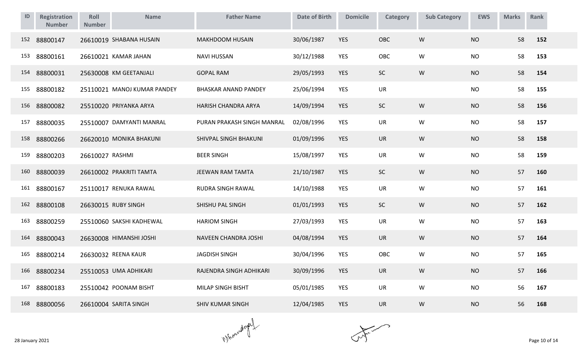| ID  | <b>Registration</b><br><b>Number</b> | Roll<br><b>Number</b> | <b>Name</b>                 | <b>Father Name</b>          | <b>Date of Birth</b> | <b>Domicile</b> | Category  | <b>Sub Category</b> | <b>EWS</b> | <b>Marks</b> | Rank |
|-----|--------------------------------------|-----------------------|-----------------------------|-----------------------------|----------------------|-----------------|-----------|---------------------|------------|--------------|------|
| 152 | 88800147                             |                       | 26610019 SHABANA HUSAIN     | <b>MAKHDOOM HUSAIN</b>      | 30/06/1987           | <b>YES</b>      | OBC       | W                   | <b>NO</b>  | 58           | 152  |
| 153 | 88800161                             |                       | 26610021 KAMAR JAHAN        | <b>NAVI HUSSAN</b>          | 30/12/1988           | <b>YES</b>      | OBC       | W                   | <b>NO</b>  | 58           | 153  |
| 154 | 88800031                             |                       | 25630008 KM GEETANJALI      | <b>GOPAL RAM</b>            | 29/05/1993           | <b>YES</b>      | <b>SC</b> | W                   | <b>NO</b>  | 58           | 154  |
| 155 | 88800182                             |                       | 25110021 MANOJ KUMAR PANDEY | <b>BHASKAR ANAND PANDEY</b> | 25/06/1994           | <b>YES</b>      | UR        |                     | <b>NO</b>  | 58           | 155  |
| 156 | 88800082                             |                       | 25510020 PRIYANKA ARYA      | HARISH CHANDRA ARYA         | 14/09/1994           | <b>YES</b>      | <b>SC</b> | W                   | <b>NO</b>  | 58           | 156  |
| 157 | 88800035                             |                       | 25510007 DAMYANTI MANRAL    | PURAN PRAKASH SINGH MANRAL  | 02/08/1996           | <b>YES</b>      | <b>UR</b> | W                   | <b>NO</b>  | 58           | 157  |
| 158 | 88800266                             |                       | 26620010 MONIKA BHAKUNI     | SHIVPAL SINGH BHAKUNI       | 01/09/1996           | <b>YES</b>      | <b>UR</b> | W                   | <b>NO</b>  | 58           | 158  |
| 159 | 88800203                             | 26610027 RASHMI       |                             | <b>BEER SINGH</b>           | 15/08/1997           | <b>YES</b>      | <b>UR</b> | W                   | <b>NO</b>  | 58           | 159  |
| 160 | 88800039                             |                       | 26610002 PRAKRITI TAMTA     | JEEWAN RAM TAMTA            | 21/10/1987           | <b>YES</b>      | SC        | W                   | <b>NO</b>  | 57           | 160  |
| 161 | 88800167                             |                       | 25110017 RENUKA RAWAL       | RUDRA SINGH RAWAL           | 14/10/1988           | <b>YES</b>      | <b>UR</b> | W                   | <b>NO</b>  | 57           | 161  |
| 162 | 88800108                             |                       | 26630015 RUBY SINGH         | SHISHU PAL SINGH            | 01/01/1993           | <b>YES</b>      | <b>SC</b> | W                   | <b>NO</b>  | 57           | 162  |
| 163 | 88800259                             |                       | 25510060 SAKSHI KADHEWAL    | <b>HARIOM SINGH</b>         | 27/03/1993           | <b>YES</b>      | <b>UR</b> | W                   | <b>NO</b>  | 57           | 163  |
| 164 | 88800043                             |                       | 26630008 HIMANSHI JOSHI     | NAVEEN CHANDRA JOSHI        | 04/08/1994           | <b>YES</b>      | <b>UR</b> | W                   | <b>NO</b>  | 57           | 164  |
| 165 | 88800214                             |                       | 26630032 REENA KAUR         | <b>JAGDISH SINGH</b>        | 30/04/1996           | <b>YES</b>      | OBC       | W                   | <b>NO</b>  | 57           | 165  |
| 166 | 88800234                             |                       | 25510053 UMA ADHIKARI       | RAJENDRA SINGH ADHIKARI     | 30/09/1996           | <b>YES</b>      | <b>UR</b> | W                   | <b>NO</b>  | 57           | 166  |
| 167 | 88800183                             |                       | 25510042 POONAM BISHT       | MILAP SINGH BISHT           | 05/01/1985           | <b>YES</b>      | UR        | W                   | <b>NO</b>  | 56           | 167  |
| 168 | 88800056                             |                       | 26610004 SARITA SINGH       | <b>SHIV KUMAR SINGH</b>     | 12/04/1985           | <b>YES</b>      | <b>UR</b> | W                   | <b>NO</b>  | 56           | 168  |

 $\mathcal{N}$  and  $\mathcal{N}$  are 10 of 14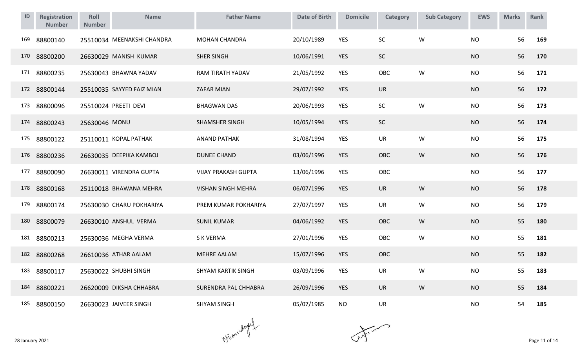| ID  | Registration<br><b>Number</b> | Roll<br><b>Number</b> | <b>Name</b>                | <b>Father Name</b>         | <b>Date of Birth</b> | <b>Domicile</b> | <b>Category</b> | <b>Sub Category</b> | <b>EWS</b> | <b>Marks</b> | Rank |
|-----|-------------------------------|-----------------------|----------------------------|----------------------------|----------------------|-----------------|-----------------|---------------------|------------|--------------|------|
| 169 | 88800140                      |                       | 25510034 MEENAKSHI CHANDRA | <b>MOHAN CHANDRA</b>       | 20/10/1989           | <b>YES</b>      | SC              | W                   | <b>NO</b>  | 56           | 169  |
| 170 | 88800200                      |                       | 26630029 MANISH KUMAR      | <b>SHER SINGH</b>          | 10/06/1991           | <b>YES</b>      | SC              |                     | <b>NO</b>  | 56           | 170  |
| 171 | 88800235                      |                       | 25630043 BHAWNA YADAV      | <b>RAM TIRATH YADAV</b>    | 21/05/1992           | <b>YES</b>      | <b>OBC</b>      | W                   | <b>NO</b>  | 56           | 171  |
| 172 | 88800144                      |                       | 25510035 SAYYED FAIZ MIAN  | <b>ZAFAR MIAN</b>          | 29/07/1992           | <b>YES</b>      | <b>UR</b>       |                     | <b>NO</b>  | 56           | 172  |
| 173 | 88800096                      |                       | 25510024 PREETI DEVI       | <b>BHAGWAN DAS</b>         | 20/06/1993           | <b>YES</b>      | SC              | W                   | <b>NO</b>  | 56           | 173  |
| 174 | 88800243                      | 25630046 MONU         |                            | <b>SHAMSHER SINGH</b>      | 10/05/1994           | <b>YES</b>      | <b>SC</b>       |                     | <b>NO</b>  | 56           | 174  |
| 175 | 88800122                      |                       | 25110011 KOPAL PATHAK      | <b>ANAND PATHAK</b>        | 31/08/1994           | YES             | <b>UR</b>       | W                   | <b>NO</b>  | 56           | 175  |
| 176 | 88800236                      |                       | 26630035 DEEPIKA KAMBOJ    | <b>DUNEE CHAND</b>         | 03/06/1996           | YES             | OBC             | W                   | <b>NO</b>  | 56           | 176  |
| 177 | 88800090                      |                       | 26630011 VIRENDRA GUPTA    | <b>VIJAY PRAKASH GUPTA</b> | 13/06/1996           | <b>YES</b>      | OBC             |                     | <b>NO</b>  | 56           | 177  |
| 178 | 88800168                      |                       | 25110018 BHAWANA MEHRA     | <b>VISHAN SINGH MEHRA</b>  | 06/07/1996           | <b>YES</b>      | <b>UR</b>       | W                   | <b>NO</b>  | 56           | 178  |
| 179 | 88800174                      |                       | 25630030 CHARU POKHARIYA   | PREM KUMAR POKHARIYA       | 27/07/1997           | <b>YES</b>      | <b>UR</b>       | W                   | <b>NO</b>  | 56           | 179  |
| 180 | 88800079                      |                       | 26630010 ANSHUL VERMA      | <b>SUNIL KUMAR</b>         | 04/06/1992           | <b>YES</b>      | <b>OBC</b>      | W                   | <b>NO</b>  | 55           | 180  |
| 181 | 88800213                      |                       | 25630036 MEGHA VERMA       | <b>SK VERMA</b>            | 27/01/1996           | <b>YES</b>      | OBC             | W                   | <b>NO</b>  | 55           | 181  |
| 182 | 88800268                      |                       | 26610036 ATHAR AALAM       | <b>MEHRE AALAM</b>         | 15/07/1996           | <b>YES</b>      | OBC             |                     | <b>NO</b>  | 55           | 182  |
| 183 | 88800117                      |                       | 25630022 SHUBHI SINGH      | SHYAM KARTIK SINGH         | 03/09/1996           | <b>YES</b>      | <b>UR</b>       | W                   | <b>NO</b>  | 55           | 183  |
| 184 | 88800221                      |                       | 26620009 DIKSHA CHHABRA    | SURENDRA PAL CHHABRA       | 26/09/1996           | <b>YES</b>      | <b>UR</b>       | W                   | <b>NO</b>  | 55           | 184  |
| 185 | 88800150                      |                       | 26630023 JAIVEER SINGH     | <b>SHYAM SINGH</b>         | 05/07/1985           | <b>NO</b>       | <b>UR</b>       |                     | <b>NO</b>  | 54           | 185  |

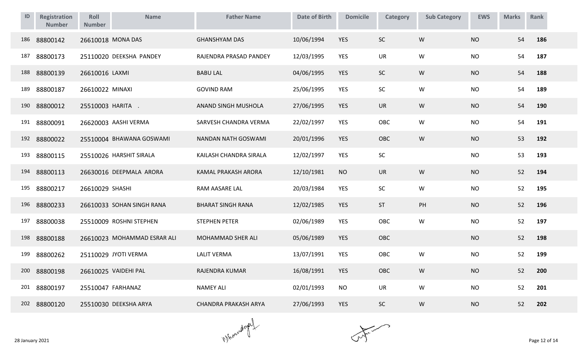| ID  | <b>Registration</b><br><b>Number</b> | Roll<br><b>Number</b> | <b>Name</b>                 | <b>Father Name</b>          | <b>Date of Birth</b> | <b>Domicile</b> | Category  | <b>Sub Category</b> | <b>EWS</b> | <b>Marks</b> | Rank |
|-----|--------------------------------------|-----------------------|-----------------------------|-----------------------------|----------------------|-----------------|-----------|---------------------|------------|--------------|------|
| 186 | 88800142                             |                       | 26610018 MONA DAS           | <b>GHANSHYAM DAS</b>        | 10/06/1994           | <b>YES</b>      | SC        | W                   | <b>NO</b>  | 54           | 186  |
| 187 | 88800173                             |                       | 25110020 DEEKSHA PANDEY     | RAJENDRA PRASAD PANDEY      | 12/03/1995           | <b>YES</b>      | UR        | W                   | <b>NO</b>  | 54           | 187  |
| 188 | 88800139                             | 26610016 LAXMI        |                             | <b>BABU LAL</b>             | 04/06/1995           | <b>YES</b>      | <b>SC</b> | W                   | <b>NO</b>  | 54           | 188  |
| 189 | 88800187                             | 26610022 MINAXI       |                             | <b>GOVIND RAM</b>           | 25/06/1995           | YES             | SC        | ${\sf W}$           | <b>NO</b>  | 54           | 189  |
| 190 | 88800012                             | 25510003 HARITA .     |                             | ANAND SINGH MUSHOLA         | 27/06/1995           | YES             | UR        | W                   | <b>NO</b>  | 54           | 190  |
| 191 | 88800091                             |                       | 26620003 AASHI VERMA        | SARVESH CHANDRA VERMA       | 22/02/1997           | YES             | OBC       | W                   | <b>NO</b>  | 54           | 191  |
| 192 | 88800022                             |                       | 25510004 BHAWANA GOSWAMI    | NANDAN NATH GOSWAMI         | 20/01/1996           | <b>YES</b>      | OBC       | W                   | <b>NO</b>  | 53           | 192  |
| 193 | 88800115                             |                       | 25510026 HARSHIT SIRALA     | KAILASH CHANDRA SIRALA      | 12/02/1997           | YES             | SC        |                     | <b>NO</b>  | 53           | 193  |
| 194 | 88800113                             |                       | 26630016 DEEPMALA ARORA     | KAMAL PRAKASH ARORA         | 12/10/1981           | <b>NO</b>       | <b>UR</b> | W                   | <b>NO</b>  | 52           | 194  |
| 195 | 88800217                             | 26610029 SHASHI       |                             | RAM AASARE LAL              | 20/03/1984           | <b>YES</b>      | SC        | W                   | <b>NO</b>  | 52           | 195  |
| 196 | 88800233                             |                       | 26610033 SOHAN SINGH RANA   | <b>BHARAT SINGH RANA</b>    | 12/02/1985           | <b>YES</b>      | ST        | PH                  | <b>NO</b>  | 52           | 196  |
| 197 | 88800038                             |                       | 25510009 ROSHNI STEPHEN     | <b>STEPHEN PETER</b>        | 02/06/1989           | <b>YES</b>      | OBC       | W                   | <b>NO</b>  | 52           | 197  |
| 198 | 88800188                             |                       | 26610023 MOHAMMAD ESRAR ALI | MOHAMMAD SHER ALI           | 05/06/1989           | <b>YES</b>      | OBC       |                     | <b>NO</b>  | 52           | 198  |
| 199 | 88800262                             |                       | 25110029 JYOTI VERMA        | <b>LALIT VERMA</b>          | 13/07/1991           | YES             | OBC       | W                   | <b>NO</b>  | 52           | 199  |
| 200 | 88800198                             |                       | 26610025 VAIDEHI PAL        | RAJENDRA KUMAR              | 16/08/1991           | <b>YES</b>      | OBC       | W                   | <b>NO</b>  | 52           | 200  |
| 201 | 88800197                             | 25510047 FARHANAZ     |                             | <b>NAMEY ALI</b>            | 02/01/1993           | <b>NO</b>       | <b>UR</b> | W                   | <b>NO</b>  | 52           | 201  |
| 202 | 88800120                             |                       | 25510030 DEEKSHA ARYA       | <b>CHANDRA PRAKASH ARYA</b> | 27/06/1993           | <b>YES</b>      | <b>SC</b> | W                   | <b>NO</b>  | 52           | 202  |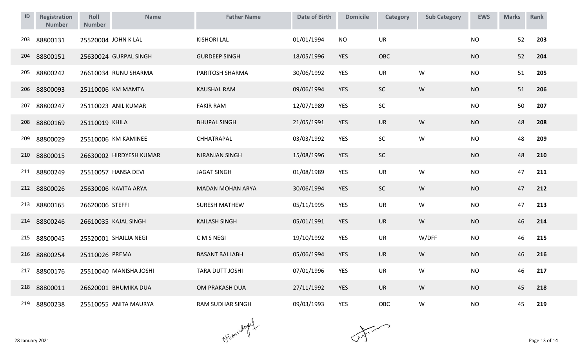| ID  | Registration<br><b>Number</b> | Roll<br><b>Number</b> | <b>Name</b>             | <b>Father Name</b>      | <b>Date of Birth</b> | <b>Domicile</b> | <b>Category</b> | <b>Sub Category</b> | <b>EWS</b> | <b>Marks</b> | Rank |
|-----|-------------------------------|-----------------------|-------------------------|-------------------------|----------------------|-----------------|-----------------|---------------------|------------|--------------|------|
| 203 | 88800131                      |                       | 25520004 JOHN K LAL     | <b>KISHORI LAL</b>      | 01/01/1994           | <b>NO</b>       | <b>UR</b>       |                     | <b>NO</b>  | 52           | 203  |
| 204 | 88800151                      |                       | 25630024 GURPAL SINGH   | <b>GURDEEP SINGH</b>    | 18/05/1996           | <b>YES</b>      | OBC             |                     | <b>NO</b>  | 52           | 204  |
| 205 | 88800242                      |                       | 26610034 RUNU SHARMA    | PARITOSH SHARMA         | 30/06/1992           | <b>YES</b>      | UR              | W                   | <b>NO</b>  | 51           | 205  |
| 206 | 88800093                      |                       | 25110006 KM MAMTA       | <b>KAUSHAL RAM</b>      | 09/06/1994           | <b>YES</b>      | <b>SC</b>       | ${\sf W}$           | <b>NO</b>  | 51           | 206  |
| 207 | 88800247                      |                       | 25110023 ANIL KUMAR     | <b>FAKIR RAM</b>        | 12/07/1989           | YES             | SC              |                     | <b>NO</b>  | 50           | 207  |
| 208 | 88800169                      | 25110019 KHILA        |                         | <b>BHUPAL SINGH</b>     | 21/05/1991           | <b>YES</b>      | <b>UR</b>       | W                   | <b>NO</b>  | 48           | 208  |
| 209 | 88800029                      |                       | 25510006 KM KAMINEE     | CHHATRAPAL              | 03/03/1992           | <b>YES</b>      | SC              | ${\mathsf W}$       | <b>NO</b>  | 48           | 209  |
|     | 210 88800015                  |                       | 26630002 HIRDYESH KUMAR | <b>NIRANJAN SINGH</b>   | 15/08/1996           | <b>YES</b>      | SC              |                     | <b>NO</b>  | 48           | 210  |
| 211 | 88800249                      |                       | 25510057 HANSA DEVI     | <b>JAGAT SINGH</b>      | 01/08/1989           | YES             | UR              | W                   | <b>NO</b>  | 47           | 211  |
| 212 | 88800026                      |                       | 25630006 KAVITA ARYA    | <b>MADAN MOHAN ARYA</b> | 30/06/1994           | <b>YES</b>      | <b>SC</b>       | W                   | <b>NO</b>  | 47           | 212  |
| 213 | 88800165                      | 26620006 STEFFI       |                         | <b>SURESH MATHEW</b>    | 05/11/1995           | <b>YES</b>      | UR              | ${\mathsf W}$       | <b>NO</b>  | 47           | 213  |
| 214 | 88800246                      |                       | 26610035 KAJAL SINGH    | <b>KAILASH SINGH</b>    | 05/01/1991           | <b>YES</b>      | <b>UR</b>       | W                   | <b>NO</b>  | 46           | 214  |
| 215 | 88800045                      |                       | 25520001 SHAILJA NEGI   | C M S NEGI              | 19/10/1992           | <b>YES</b>      | <b>UR</b>       | W/DFF               | <b>NO</b>  | 46           | 215  |
|     | 216 88800254                  | 25110026 PREMA        |                         | <b>BASANT BALLABH</b>   | 05/06/1994           | <b>YES</b>      | <b>UR</b>       | W                   | <b>NO</b>  | 46           | 216  |
| 217 | 88800176                      |                       | 25510040 MANISHA JOSHI  | TARA DUTT JOSHI         | 07/01/1996           | <b>YES</b>      | <b>UR</b>       | W                   | <b>NO</b>  | 46           | 217  |
|     | 218 88800011                  |                       | 26620001 BHUMIKA DUA    | OM PRAKASH DUA          | 27/11/1992           | YES             | <b>UR</b>       | ${\sf W}$           | <b>NO</b>  | 45           | 218  |
|     | 219 88800238                  |                       | 25510055 ANITA MAURYA   | <b>RAM SUDHAR SINGH</b> | 09/03/1993           | <b>YES</b>      | OBC             | ${\sf W}$           | <b>NO</b>  | 45           | 219  |